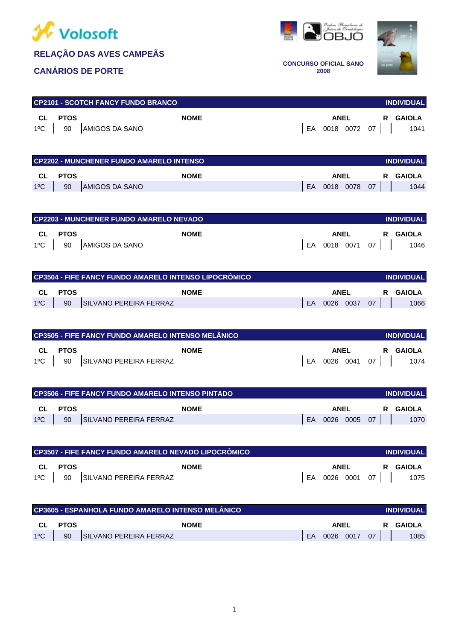

## **RELAÇÃO DAS AVES CAMPEÃS**

### **CANÁRIOS DE PORTE**





**CONCURSO OFICIAL SANO 2008**

|    |      | <b>CP2101 - SCOTCH FANCY FUNDO BRANCO</b> |  |      |                 | <b>INDIVIDUAL</b> |
|----|------|-------------------------------------------|--|------|-----------------|-------------------|
| CL | PTOS | <b>NOME</b>                               |  | ANEL |                 | R GAIOLA          |
|    |      | 1°C   90   AMIGOS DA SANO                 |  |      | EA 0018 0072 07 | 1041              |

|               |         | <b>CP2202 - MUNCHENER FUNDO AMARELO INTENSO</b> |    |             |    | <b>INDIVIDUAL</b> |
|---------------|---------|-------------------------------------------------|----|-------------|----|-------------------|
|               | CL PTOS | <b>NOME</b>                                     |    | <b>ANEL</b> |    | R GAIOLA          |
| $1^{\circ}$ C | 90      | <b>AMIGOS DA SANO</b>                           | EA | 0018 0078   | 07 | 1044              |

|         | CP2203 - MUNCHENER FUNDO AMARELO NEVADO |  |             |                 | <b>INDIVIDUAL</b> |
|---------|-----------------------------------------|--|-------------|-----------------|-------------------|
| CL PTOS | <b>NOME</b>                             |  | <b>ANEL</b> |                 | R GAIOLA          |
|         | 1°C   90   AMIGOS DA SANO               |  |             | EA 0018 0071 07 | 1046              |

|               |      | CP3504 - FIFE FANCY FUNDO AMARELO INTENSO LIPOCRÔMICO |     |             |    | <b>INDIVIDUAL</b> |
|---------------|------|-------------------------------------------------------|-----|-------------|----|-------------------|
| CL C          | PTOS | <b>NOME</b>                                           |     | <b>ANEL</b> |    | R GAIOLA          |
| $1^{\circ}$ C | 90   | SILVANO PEREIRA FERRAZ                                | EA. | 0026 0037   | 07 | 1066              |

|    | CP3505 - FIFE FANCY FUNDO AMARELO INTENSO MELÂNICO<br><b>INDIVIDUAL</b> |                               |  |             |  |                 |          |  |  |  |
|----|-------------------------------------------------------------------------|-------------------------------|--|-------------|--|-----------------|----------|--|--|--|
| CL | PTOS                                                                    | <b>NOME</b>                   |  | <b>ANEL</b> |  |                 | R GAIOLA |  |  |  |
|    |                                                                         | 1ºC 90 SILVANO PEREIRA FERRAZ |  |             |  | EA 0026 0041 07 | 1074     |  |  |  |

|               |             | CP3506 - FIFE FANCY FUNDO AMARELO INTENSO PINTADO |    |             |     | <b>INDIVIDUAL</b> |
|---------------|-------------|---------------------------------------------------|----|-------------|-----|-------------------|
| <b>CL</b>     | <b>PTOS</b> | <b>NOME</b>                                       |    | <b>ANEL</b> | R.  | GAIOLA            |
| $1^{\circ}$ C | 90          | SILVANO PEREIRA FERRAZ                            | EA | 0026 0005   | -07 | 1070              |

| CP3507 - FIFE FANCY FUNDO AMARELO NEVADO LIPOCRÔMICO |                                   |  | <b>INDIVIDUAL</b> |                 |          |
|------------------------------------------------------|-----------------------------------|--|-------------------|-----------------|----------|
| CL PTOS                                              | <b>NOME</b>                       |  | <b>ANEL</b>       |                 | R GAIOLA |
|                                                      | 1°C   90   SILVANO PEREIRA FERRAZ |  |                   | EA 0026 0001 07 | 1075     |

| CP3605 - ESPANHOLA FUNDO AMARELO INTENSO MELÂNICO<br><b>INDIVIDUAL</b> |             |                        |    |             |  |    |  |          |
|------------------------------------------------------------------------|-------------|------------------------|----|-------------|--|----|--|----------|
| <b>CL</b>                                                              | <b>PTOS</b> | <b>NOME</b>            |    | <b>ANEL</b> |  |    |  | R GAIOLA |
| $1^{\circ}$ C                                                          | 90          | SILVANO PEREIRA FERRAZ | EA | $0026$ 0017 |  | 07 |  | 1085     |